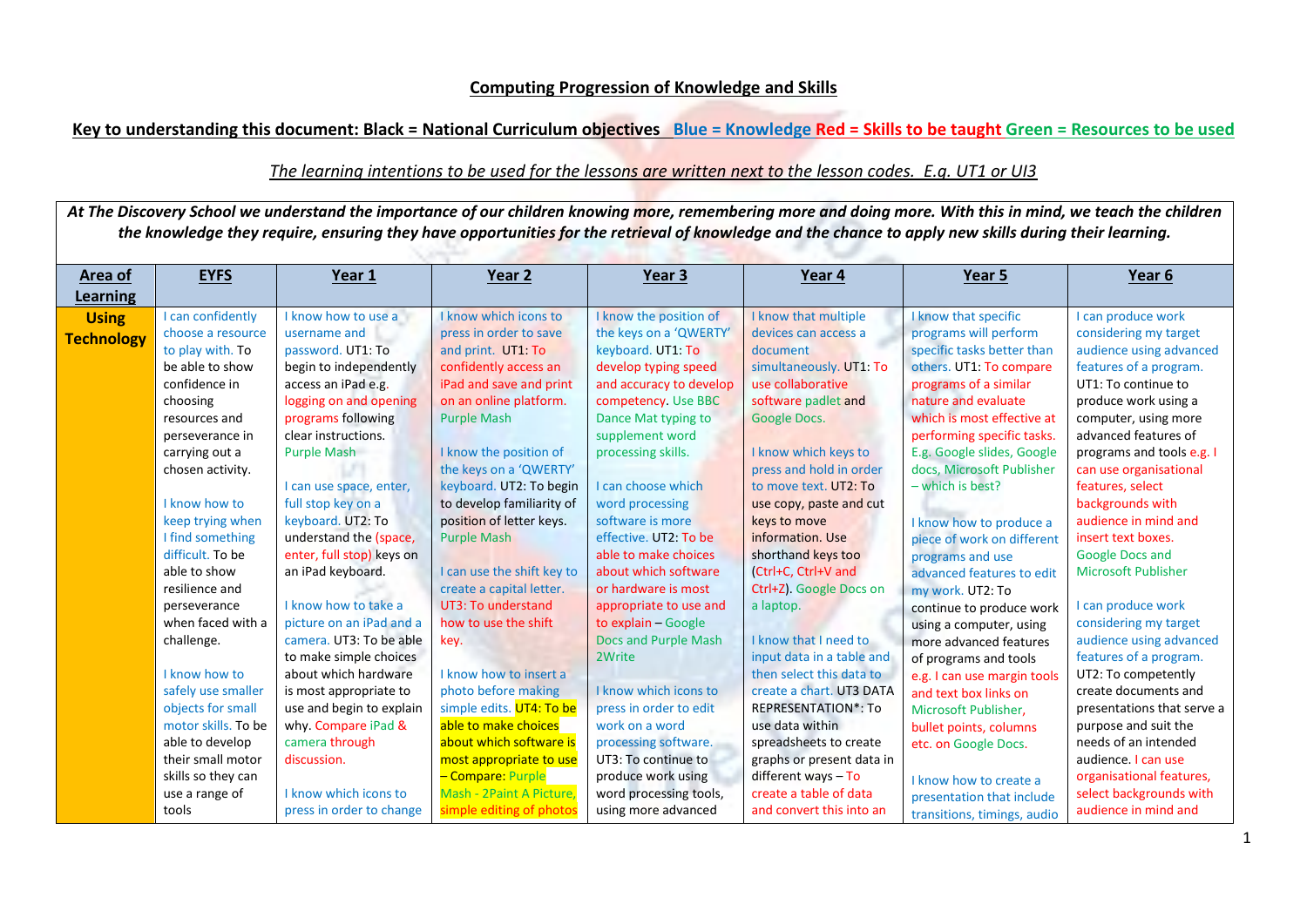## **Computing Progression of Knowledge and Skills**

**Key to understanding this document: Black = National Curriculum objectives Blue = Knowledge Red = Skills to be taught Green = Resources to be used**

## *The learning intentions to be used for the lessons are written next to the lesson codes. E.g. UT1 or UI3*

At The Discovery School we understand the importance of our children knowing more, remembering more and doing more. With this in mind, we teach the children *the knowledge they require, ensuring they have opportunities for the retrieval of knowledge and the chance to apply new skills during their learning.*

| Area of                  | <b>EYFS</b>         | Year 1                    | Year 2                     | Year <sub>3</sub>           | Year 4                     | Year 5                      | Year 6                     |
|--------------------------|---------------------|---------------------------|----------------------------|-----------------------------|----------------------------|-----------------------------|----------------------------|
| Learning<br><b>Using</b> | I can confidently   | I know how to use a       | I know which icons to      | I know the position of      | I know that multiple       | know that specific          | I can produce work         |
|                          | choose a resource   | username and              | press in order to save     | the keys on a 'QWERTY'      | devices can access a       | programs will perform       | considering my target      |
| <b>Technology</b>        | to play with. To    | password. UT1: To         | and print. UT1: To         | keyboard. UT1: To           | document                   | specific tasks better than  | audience using advanced    |
|                          | be able to show     | begin to independently    | confidently access an      | develop typing speed        | simultaneously. UT1: To    | others. UT1: To compare     | features of a program.     |
|                          | confidence in       | access an iPad e.g.       | iPad and save and print    | and accuracy to develop     | use collaborative          | programs of a similar       | UT1: To continue to        |
|                          | choosing            | logging on and opening    | on an online platform.     | competency. Use BBC         | software padlet and        | nature and evaluate         | produce work using a       |
|                          | resources and       | programs following        | <b>Purple Mash</b>         | Dance Mat typing to         | Google Docs.               | which is most effective at  | computer, using more       |
|                          | perseverance in     | clear instructions.       |                            | supplement word             |                            | performing specific tasks.  | advanced features of       |
|                          | carrying out a      | <b>Purple Mash</b>        | I know the position of     | processing skills.          | I know which keys to       | E.g. Google slides, Google  | programs and tools e.g. I  |
|                          | chosen activity.    |                           | the keys on a 'QWERTY'     |                             | press and hold in order    | docs, Microsoft Publisher   | can use organisational     |
|                          |                     | I can use space, enter,   | keyboard. UT2: To begin    | I can choose which          | to move text. UT2: To      | - which is best?            | features, select           |
|                          | I know how to       | full stop key on a        | to develop familiarity of  | word processing             | use copy, paste and cut    |                             | backgrounds with           |
|                          | keep trying when    | keyboard. UT2: To         | position of letter keys.   | software is more            | keys to move               | I know how to produce a     | audience in mind and       |
|                          | I find something    | understand the (space,    | <b>Purple Mash</b>         | effective. UT2: To be       | information. Use           | piece of work on different  | insert text boxes.         |
|                          | difficult. To be    | enter, full stop) keys on |                            | able to make choices        | shorthand keys too         | programs and use            | <b>Google Docs and</b>     |
|                          | able to show        | an iPad keyboard.         | I can use the shift key to | about which software        | (Ctrl+C, Ctrl+V and        | advanced features to edit   | <b>Microsoft Publisher</b> |
|                          | resilience and      |                           | create a capital letter.   | or hardware is most         | Ctrl+Z). Google Docs on    | my work. UT2: To            |                            |
|                          | perseverance        | I know how to take a      | UT3: To understand         | appropriate to use and      | a laptop.                  | continue to produce work    | I can produce work         |
|                          | when faced with a   | picture on an iPad and a  | how to use the shift       | to explain - Google         |                            | using a computer, using     | considering my target      |
|                          | challenge.          | camera. UT3: To be able   | key.                       | <b>Docs and Purple Mash</b> | I know that I need to      | more advanced features      | audience using advanced    |
|                          |                     | to make simple choices    |                            | 2Write                      | input data in a table and  | of programs and tools       | features of a program.     |
|                          | I know how to       | about which hardware      | I know how to insert a     |                             | then select this data to   | e.g. I can use margin tools | UT2: To competently        |
|                          | safely use smaller  | is most appropriate to    | photo before making        | I know which icons to       | create a chart. UT3 DATA   | and text box links on       | create documents and       |
|                          | objects for small   | use and begin to explain  | simple edits. UT4: To be   | press in order to edit      | <b>REPRESENTATION*: To</b> | Microsoft Publisher,        | presentations that serve a |
|                          | motor skills. To be | why. Compare iPad &       | able to make choices       | work on a word              | use data within            | bullet points, columns      | purpose and suit the       |
|                          | able to develop     | camera through            | about which software is    | processing software.        | spreadsheets to create     | etc. on Google Docs.        | needs of an intended       |
|                          | their small motor   | discussion.               | most appropriate to use    | UT3: To continue to         | graphs or present data in  |                             | audience. I can use        |
|                          | skills so they can  |                           | - Compare: Purple          | produce work using          | different ways $-$ To      | I know how to create a      | organisational features,   |
|                          | use a range of      | I know which icons to     | Mash - 2Paint A Picture.   | word processing tools,      | create a table of data     | presentation that include   | select backgrounds with    |
|                          | tools               | press in order to change  | simple editing of photos   | using more advanced         | and convert this into an   | transitions, timings, audio | audience in mind and       |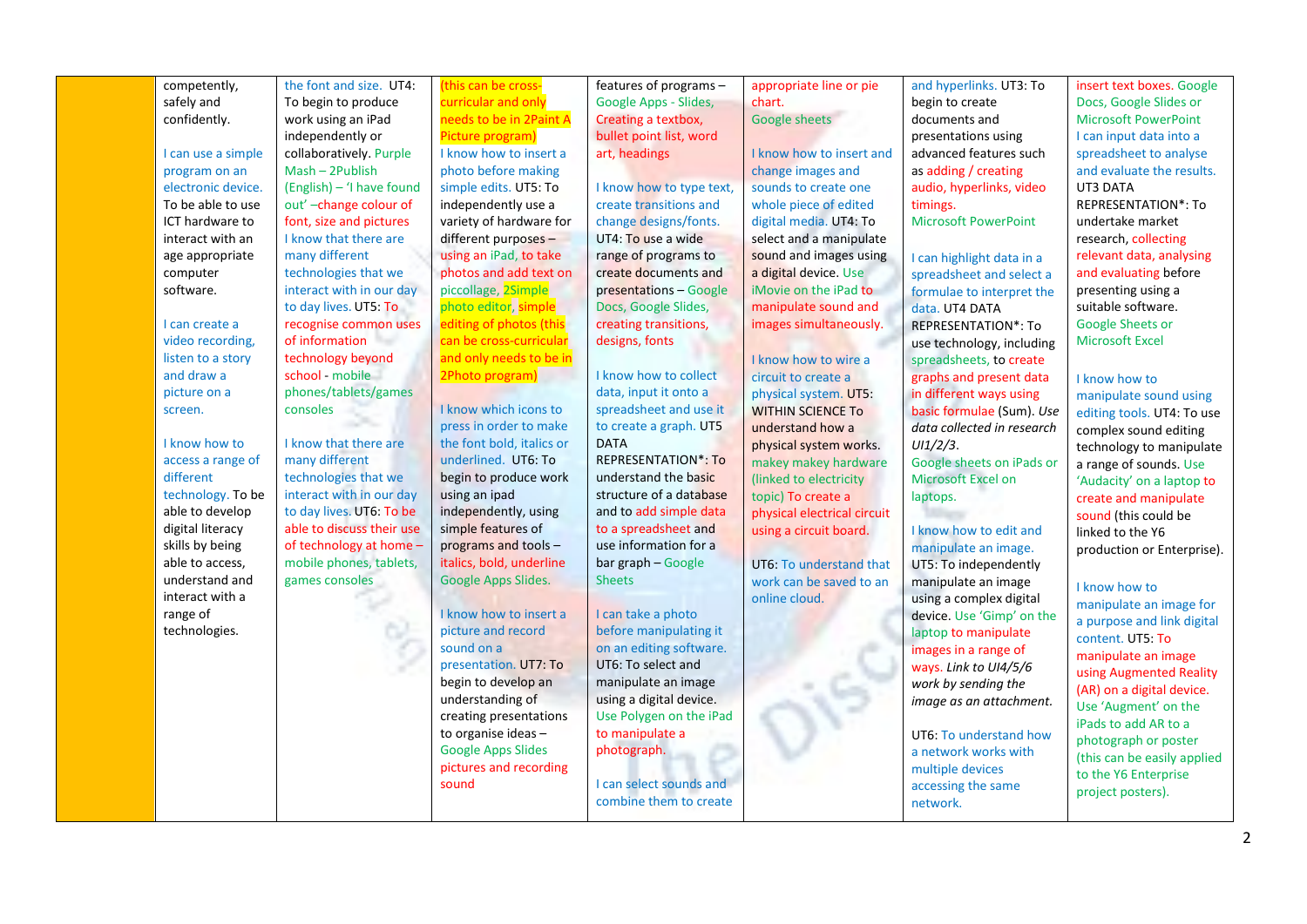| competently,       | the font and size. UT4:   | (this can be cross-       | features of programs -     | appropriate line or pie     | and hyperlinks. UT3: To     | insert text boxes. Google   |
|--------------------|---------------------------|---------------------------|----------------------------|-----------------------------|-----------------------------|-----------------------------|
| safely and         | To begin to produce       | curricular and only       | Google Apps - Slides,      | chart.                      | begin to create             | Docs, Google Slides or      |
| confidently.       | work using an iPad        | needs to be in 2Paint A   | Creating a textbox,        | Google sheets               | documents and               | <b>Microsoft PowerPoint</b> |
|                    | independently or          | Picture program)          | bullet point list, word    |                             | presentations using         | I can input data into a     |
| I can use a simple | collaboratively. Purple   | I know how to insert a    | art, headings              | I know how to insert and    | advanced features such      | spreadsheet to analyse      |
| program on an      | Mash - 2Publish           | photo before making       |                            | change images and           | as adding / creating        | and evaluate the results.   |
| electronic device. | (English) - 'I have found | simple edits. UT5: To     | I know how to type text,   | sounds to create one        | audio, hyperlinks, video    | UT3 DATA                    |
| To be able to use  | out'-change colour of     | independently use a       | create transitions and     | whole piece of edited       | timings.                    | <b>REPRESENTATION*: To</b>  |
| ICT hardware to    | font, size and pictures   | variety of hardware for   | change designs/fonts.      | digital media. UT4: To      | <b>Microsoft PowerPoint</b> | undertake market            |
| interact with an   | I know that there are     | different purposes -      | UT4: To use a wide         | select and a manipulate     |                             | research, collecting        |
| age appropriate    | many different            | using an iPad, to take    | range of programs to       | sound and images using      | I can highlight data in a   | relevant data, analysing    |
| computer           | technologies that we      | photos and add text on    | create documents and       | a digital device. Use       | spreadsheet and select a    | and evaluating before       |
| software.          | interact with in our day  | piccollage, 2Simple       | presentations - Google     | iMovie on the iPad to       | formulae to interpret the   | presenting using a          |
|                    | to day lives. UT5: To     | photo editor, simple      | Docs, Google Slides,       | manipulate sound and        | data. UT4 DATA              | suitable software.          |
| I can create a     | recognise common uses     | editing of photos (this   | creating transitions,      | images simultaneously.      | <b>REPRESENTATION*: To</b>  | Google Sheets or            |
| video recording,   | of information            | can be cross-curricular   | designs, fonts             |                             | use technology, including   | <b>Microsoft Excel</b>      |
| listen to a story  | technology beyond         | and only needs to be in   |                            | I know how to wire a        | spreadsheets, to create     |                             |
| and draw a         | school - mobile           | 2Photo program)           | I know how to collect      | circuit to create a         | graphs and present data     | I know how to               |
| picture on a       | phones/tablets/games      |                           | data, input it onto a      | physical system. UT5:       | in different ways using     | manipulate sound using      |
| screen.            | consoles                  | I know which icons to     | spreadsheet and use it     | <b>WITHIN SCIENCE TO</b>    | basic formulae (Sum). Use   | editing tools. UT4: To use  |
|                    |                           | press in order to make    | to create a graph. UT5     | understand how a            | data collected in research  | complex sound editing       |
| I know how to      | I know that there are     | the font bold, italics or | <b>DATA</b>                | physical system works.      | UI/2/3.                     | technology to manipulate    |
| access a range of  | many different            | underlined. UT6: To       | <b>REPRESENTATION*: To</b> | makey makey hardware        | Google sheets on iPads or   | a range of sounds. Use      |
| different          | technologies that we      | begin to produce work     | understand the basic       | (linked to electricity      | Microsoft Excel on          | 'Audacity' on a laptop to   |
| technology. To be  | interact with in our day  | using an ipad             | structure of a database    | topic) To create a          | laptops.                    | create and manipulate       |
| able to develop    | to day lives. UT6: To be  | independently, using      | and to add simple data     | physical electrical circuit |                             | sound (this could be        |
| digital literacy   | able to discuss their use | simple features of        | to a spreadsheet and       | using a circuit board.      | I know how to edit and      | linked to the Y6            |
| skills by being    | of technology at home -   | programs and tools -      | use information for a      |                             | manipulate an image.        | production or Enterprise).  |
| able to access,    | mobile phones, tablets,   | italics, bold, underline  | bar graph - Google         | UT6: To understand that     | UT5: To independently       |                             |
| understand and     | games consoles            | Google Apps Slides.       | <b>Sheets</b>              | work can be saved to an     | manipulate an image         | I know how to               |
| interact with a    |                           |                           |                            | online cloud.               | using a complex digital     | manipulate an image for     |
| range of           |                           | I know how to insert a    | I can take a photo         |                             | device. Use 'Gimp' on the   | a purpose and link digital  |
| technologies.      |                           | picture and record        | before manipulating it     |                             | laptop to manipulate        | content. UT5: To            |
|                    |                           | sound on a                | on an editing software.    |                             | images in a range of        | manipulate an image         |
|                    |                           | presentation. UT7: To     | UT6: To select and         |                             | ways. Link to UI4/5/6       | using Augmented Reality     |
|                    |                           | begin to develop an       | manipulate an image        |                             | work by sending the         | (AR) on a digital device.   |
|                    |                           | understanding of          | using a digital device.    |                             | image as an attachment.     | Use 'Augment' on the        |
|                    |                           | creating presentations    | Use Polygen on the iPad    |                             |                             | iPads to add AR to a        |
|                    |                           | to organise ideas-        | to manipulate a            |                             | UT6: To understand how      | photograph or poster        |
|                    |                           | <b>Google Apps Slides</b> | photograph.                |                             | a network works with        | (this can be easily applied |
|                    |                           | pictures and recording    |                            |                             | multiple devices            | to the Y6 Enterprise        |
|                    |                           | sound                     | I can select sounds and    |                             | accessing the same          | project posters).           |
|                    |                           |                           | combine them to create     |                             | network.                    |                             |
|                    |                           |                           |                            |                             |                             |                             |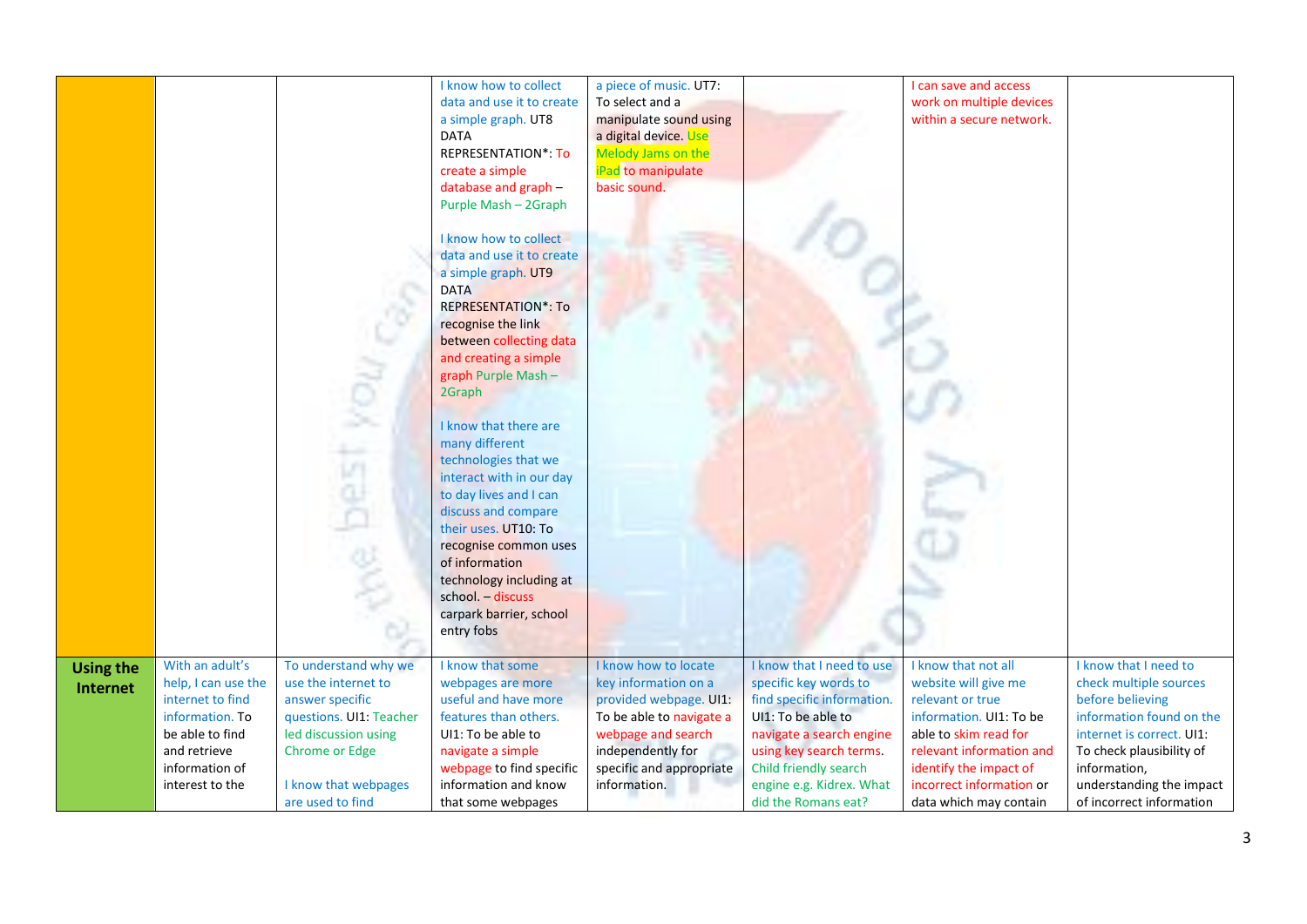|                              |                                                                                                                                                       |                                                                                                                                                                                        | I know how to collect<br>data and use it to create<br>a simple graph. UT8<br><b>DATA</b><br><b>REPRESENTATION*: To</b><br>create a simple<br>database and graph -<br>Purple Mash - 2Graph<br>I know how to collect<br>data and use it to create<br>a simple graph. UT9<br><b>DATA</b><br><b>REPRESENTATION*: To</b><br>recognise the link<br>between collecting data<br>and creating a simple<br>graph Purple Mash-<br>2Graph<br>I know that there are<br>many different<br>technologies that we<br>interact with in our day<br>to day lives and I can<br>discuss and compare<br>their uses. UT10: To<br>recognise common uses<br>of information<br>technology including at<br>school. - discuss<br>carpark barrier, school<br>entry fobs | a piece of music. UT7:<br>To select and a<br>manipulate sound using<br>a digital device. Use<br>Melody Jams on the<br>iPad to manipulate<br>basic sound.                                  |                                                                                                                                                                                                                                           | I can save and access<br>work on multiple devices<br>within a secure network.                                                                                                                                                   |                                                                                                                                                                                                                                  |
|------------------------------|-------------------------------------------------------------------------------------------------------------------------------------------------------|----------------------------------------------------------------------------------------------------------------------------------------------------------------------------------------|-------------------------------------------------------------------------------------------------------------------------------------------------------------------------------------------------------------------------------------------------------------------------------------------------------------------------------------------------------------------------------------------------------------------------------------------------------------------------------------------------------------------------------------------------------------------------------------------------------------------------------------------------------------------------------------------------------------------------------------------|-------------------------------------------------------------------------------------------------------------------------------------------------------------------------------------------|-------------------------------------------------------------------------------------------------------------------------------------------------------------------------------------------------------------------------------------------|---------------------------------------------------------------------------------------------------------------------------------------------------------------------------------------------------------------------------------|----------------------------------------------------------------------------------------------------------------------------------------------------------------------------------------------------------------------------------|
| <b>Using the</b><br>Internet | With an adult's<br>help, I can use the<br>internet to find<br>information. To<br>be able to find<br>and retrieve<br>information of<br>interest to the | To understand why we<br>use the internet to<br>answer specific<br>questions. UI1: Teacher<br>led discussion using<br><b>Chrome or Edge</b><br>I know that webpages<br>are used to find | I know that some<br>webpages are more<br>useful and have more<br>features than others.<br>UI1: To be able to<br>navigate a simple<br>webpage to find specific<br>information and know<br>that some webpages                                                                                                                                                                                                                                                                                                                                                                                                                                                                                                                               | I know how to locate<br>key information on a<br>provided webpage. UI1:<br>To be able to navigate a<br>webpage and search<br>independently for<br>specific and appropriate<br>information. | I know that I need to use<br>specific key words to<br>find specific information.<br>UI1: To be able to<br>navigate a search engine<br>using key search terms.<br>Child friendly search<br>engine e.g. Kidrex. What<br>did the Romans eat? | I know that not all<br>website will give me<br>relevant or true<br>information. UI1: To be<br>able to skim read for<br>relevant information and<br>identify the impact of<br>incorrect information or<br>data which may contain | I know that I need to<br>check multiple sources<br>before believing<br>information found on the<br>internet is correct. UI1:<br>To check plausibility of<br>information,<br>understanding the impact<br>of incorrect information |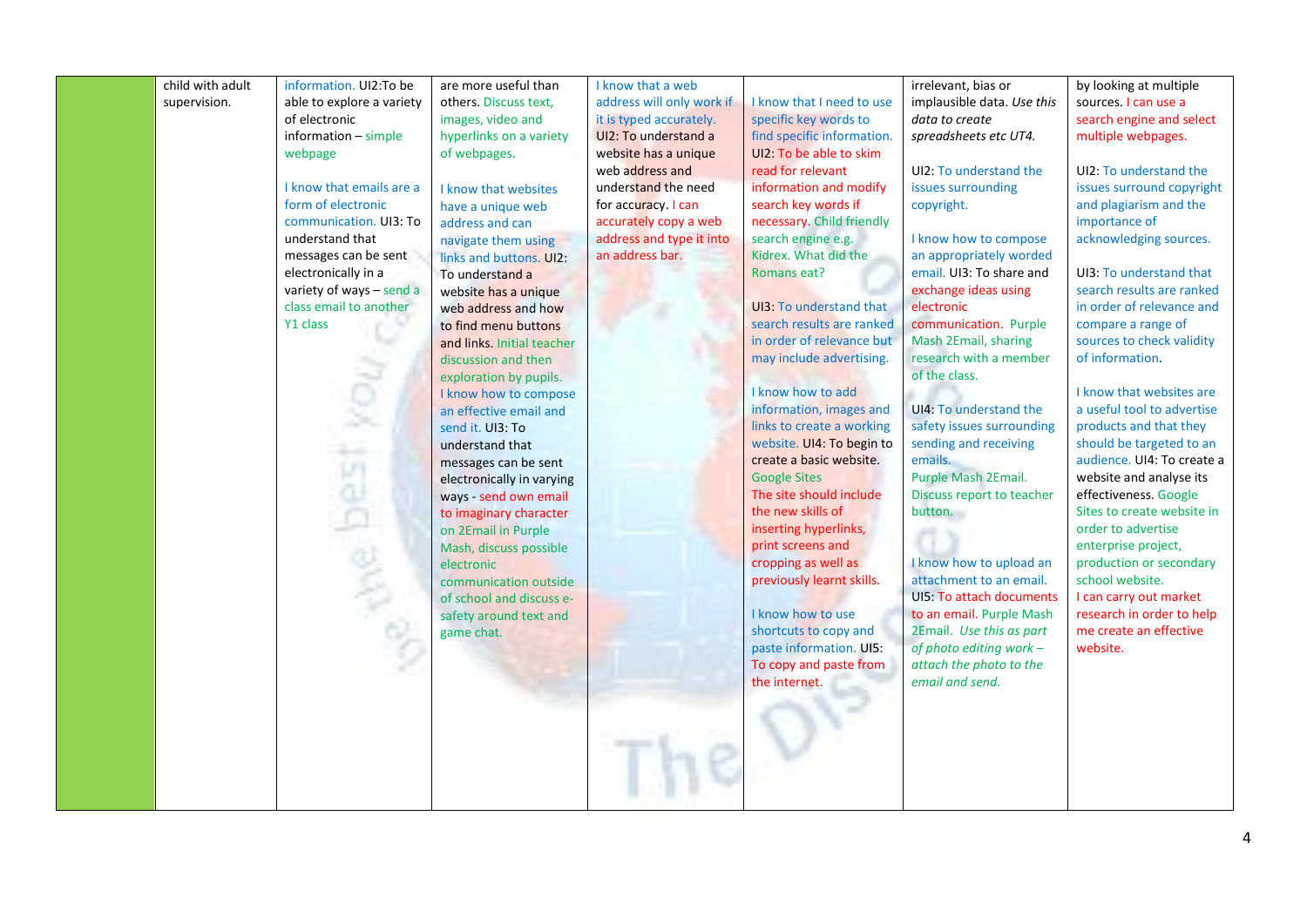| child with adult | information. UI2:To be    | are more useful than       | I know that a web         |                                | irrelevant, bias or                        | by looking at multiple     |
|------------------|---------------------------|----------------------------|---------------------------|--------------------------------|--------------------------------------------|----------------------------|
| supervision.     | able to explore a variety | others. Discuss text,      | address will only work if | I know that I need to use      | implausible data. Use this                 | sources. I can use a       |
|                  | of electronic             | images, video and          | it is typed accurately.   | specific key words to          | data to create                             | search engine and select   |
|                  | $information - simple$    | hyperlinks on a variety    | UI2: To understand a      | find specific information.     | spreadsheets etc UT4.                      | multiple webpages.         |
|                  | webpage                   | of webpages.               | website has a unique      | UI2: To be able to skim        |                                            |                            |
|                  |                           |                            | web address and           | read for relevant              | UI2: To understand the                     | UI2: To understand the     |
|                  | I know that emails are a  | I know that websites       | understand the need       | information and modify         | issues surrounding                         | issues surround copyright  |
|                  | form of electronic        | have a unique web          | for accuracy. I can       | search key words if            | copyright.                                 | and plagiarism and the     |
|                  | communication. UI3: To    | address and can            | accurately copy a web     | necessary. Child friendly      |                                            | importance of              |
|                  | understand that           | navigate them using        | address and type it into  | search engine e.g.             | I know how to compose                      | acknowledging sources.     |
|                  | messages can be sent      | links and buttons. UI2:    | an address bar.           | Kidrex. What did the           | an appropriately worded                    |                            |
|                  | electronically in a       | To understand a            |                           | Romans eat?                    | email. UI3: To share and                   | UI3: To understand that    |
|                  | variety of ways - send a  | website has a unique       |                           |                                | exchange ideas using                       | search results are ranked  |
|                  | class email to another    | web address and how        |                           | <b>UI3: To understand that</b> | electronic                                 | in order of relevance and  |
|                  | Y1 class                  | to find menu buttons       |                           | search results are ranked      | communication. Purple                      | compare a range of         |
|                  |                           | and links. Initial teacher |                           | in order of relevance but      | Mash 2Email, sharing                       | sources to check validity  |
|                  |                           | discussion and then        |                           | may include advertising.       | research with a member                     | of information.            |
|                  |                           | exploration by pupils.     |                           |                                | of the class.                              |                            |
|                  |                           | I know how to compose      |                           | I know how to add              |                                            | I know that websites are   |
|                  |                           | an effective email and     |                           | information, images and        | UI4: To understand the                     | a useful tool to advertise |
|                  |                           | send it. UI3: To           |                           | links to create a working      | safety issues surrounding                  | products and that they     |
|                  |                           | understand that            |                           | website. UI4: To begin to      | sending and receiving                      | should be targeted to an   |
|                  |                           | messages can be sent       |                           | create a basic website.        | emails.                                    | audience. UI4: To create a |
|                  |                           | electronically in varying  |                           | <b>Google Sites</b>            | Purple Mash 2Email.                        | website and analyse its    |
|                  |                           | ways - send own email      |                           | The site should include        | Discuss report to teacher                  | effectiveness. Google      |
|                  |                           | to imaginary character     |                           | the new skills of              | button.                                    | Sites to create website in |
|                  |                           | on 2Email in Purple        |                           | inserting hyperlinks,          |                                            | order to advertise         |
|                  |                           | Mash, discuss possible     |                           | print screens and              |                                            | enterprise project,        |
|                  |                           | electronic                 |                           | cropping as well as            | I know how to upload an                    | production or secondary    |
|                  |                           | communication outside      |                           | previously learnt skills.      | attachment to an email.                    | school website.            |
|                  |                           | of school and discuss e-   |                           |                                | UI5: To attach documents                   | I can carry out market     |
|                  |                           | safety around text and     |                           | I know how to use              | to an email. Purple Mash                   | research in order to help  |
|                  |                           | game chat.                 |                           | shortcuts to copy and          | 2Email. Use this as part                   | me create an effective     |
|                  |                           |                            |                           | paste information. UI5:        | of photo editing work -                    | website.                   |
|                  |                           |                            |                           | To copy and paste from         | attach the photo to the<br>email and send. |                            |
|                  |                           |                            |                           | the internet.                  |                                            |                            |
|                  |                           |                            |                           |                                |                                            |                            |
|                  |                           |                            |                           |                                |                                            |                            |
|                  |                           |                            |                           |                                |                                            |                            |
|                  |                           |                            |                           |                                |                                            |                            |
|                  |                           |                            |                           |                                |                                            |                            |
|                  |                           |                            |                           |                                |                                            |                            |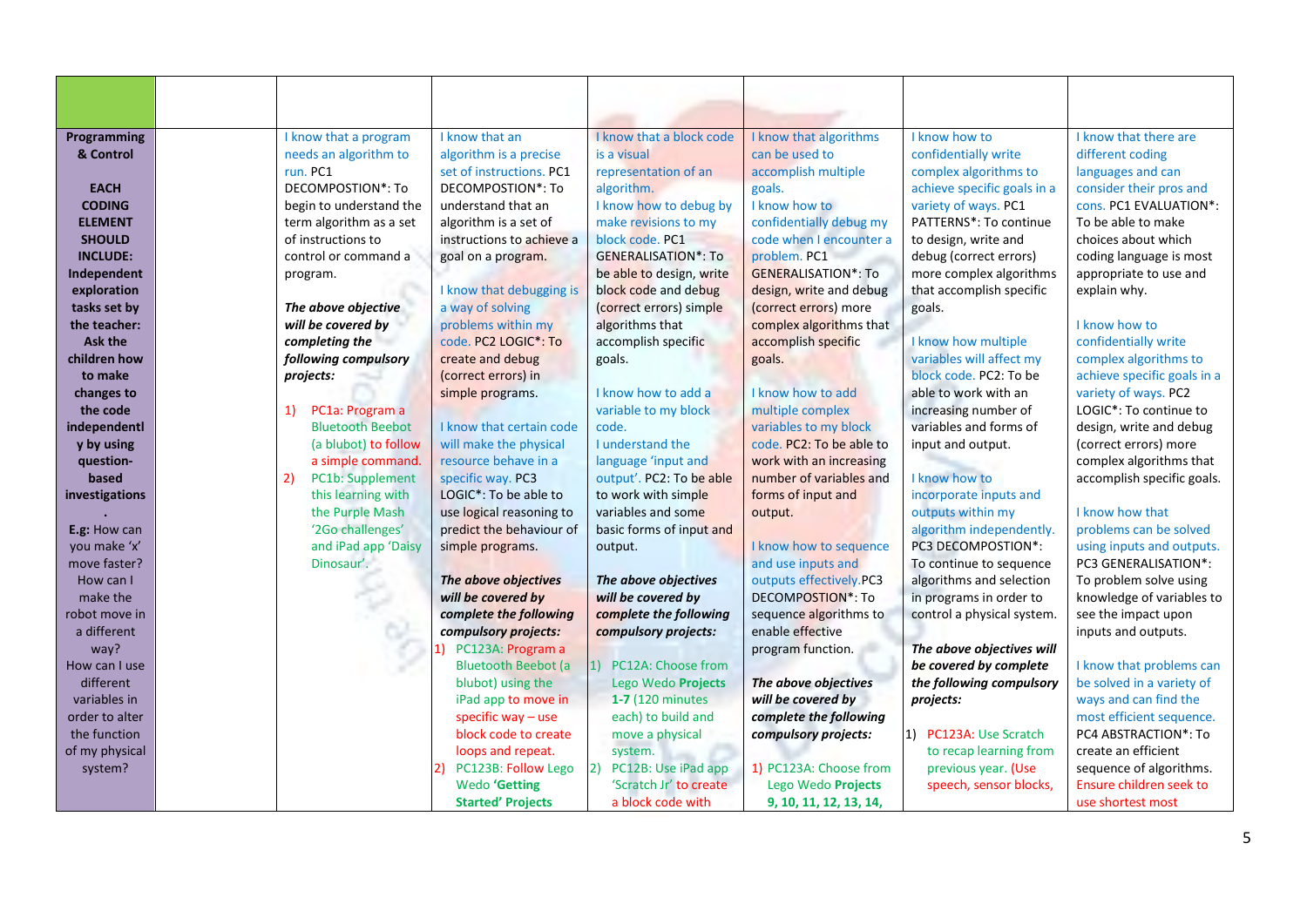| Programming     | I know that a program         | I know that an              | I know that a block code   | I know that algorithms     | I know how to               | I know that there are       |
|-----------------|-------------------------------|-----------------------------|----------------------------|----------------------------|-----------------------------|-----------------------------|
| & Control       | needs an algorithm to         | algorithm is a precise      | is a visual                | can be used to             | confidentially write        | different coding            |
|                 | run. PC1                      | set of instructions. PC1    | representation of an       | accomplish multiple        | complex algorithms to       | languages and can           |
| <b>EACH</b>     | DECOMPOSTION*: To             | DECOMPOSTION*: To           | algorithm.                 | goals.                     | achieve specific goals in a | consider their pros and     |
| <b>CODING</b>   | begin to understand the       | understand that an          | I know how to debug by     | I know how to              | variety of ways. PC1        | cons. PC1 EVALUATION*:      |
| <b>ELEMENT</b>  | term algorithm as a set       | algorithm is a set of       | make revisions to my       | confidentially debug my    | PATTERNS*: To continue      | To be able to make          |
| <b>SHOULD</b>   | of instructions to            | instructions to achieve a   | block code. PC1            | code when I encounter a    | to design, write and        | choices about which         |
| <b>INCLUDE:</b> | control or command a          | goal on a program.          | <b>GENERALISATION*: To</b> | problem. PC1               | debug (correct errors)      | coding language is most     |
| Independent     | program.                      |                             | be able to design, write   | <b>GENERALISATION*: To</b> | more complex algorithms     | appropriate to use and      |
| exploration     |                               | I know that debugging is    | block code and debug       | design, write and debug    | that accomplish specific    | explain why.                |
| tasks set by    | The above objective           | a way of solving            | (correct errors) simple    | (correct errors) more      | goals.                      |                             |
| the teacher:    | will be covered by            | problems within my          | algorithms that            | complex algorithms that    |                             | I know how to               |
| Ask the         | completing the                | code. PC2 LOGIC*: To        | accomplish specific        | accomplish specific        | I know how multiple         | confidentially write        |
| children how    | following compulsory          | create and debug            | goals.                     | goals.                     | variables will affect my    | complex algorithms to       |
| to make         | projects:                     | (correct errors) in         |                            |                            | block code. PC2: To be      | achieve specific goals in a |
| changes to      |                               | simple programs.            | I know how to add a        | I know how to add          | able to work with an        | variety of ways. PC2        |
| the code        | PC1a: Program a<br>1)         |                             | variable to my block       | multiple complex           | increasing number of        | LOGIC*: To continue to      |
| independentl    | <b>Bluetooth Beebot</b>       | I know that certain code    | code.                      | variables to my block      | variables and forms of      | design, write and debug     |
| y by using      | (a blubot) to follow          | will make the physical      | I understand the           | code. PC2: To be able to   | input and output.           | (correct errors) more       |
| question-       | a simple command.             | resource behave in a        | language 'input and        | work with an increasing    |                             | complex algorithms that     |
| based           | 2)<br><b>PC1b: Supplement</b> | specific way. PC3           | output'. PC2: To be able   | number of variables and    | I know how to               | accomplish specific goals.  |
| investigations  | this learning with            | LOGIC*: To be able to       | to work with simple        | forms of input and         | incorporate inputs and      |                             |
|                 | the Purple Mash               | use logical reasoning to    | variables and some         | output.                    | outputs within my           | I know how that             |
| E.g: How can    | '2Go challenges'              | predict the behaviour of    | basic forms of input and   |                            | algorithm independently.    | problems can be solved      |
| you make 'x'    | and iPad app 'Daisy           | simple programs.            | output.                    | I know how to sequence     | PC3 DECOMPOSTION*:          | using inputs and outputs.   |
| move faster?    | Dinosaur'.                    |                             |                            | and use inputs and         | To continue to sequence     | PC3 GENERALISATION*:        |
| How can I       |                               | The above objectives        | The above objectives       | outputs effectively.PC3    | algorithms and selection    | To problem solve using      |
| make the        |                               | will be covered by          | will be covered by         | <b>DECOMPOSTION*: To</b>   | in programs in order to     | knowledge of variables to   |
| robot move in   |                               | complete the following      | complete the following     | sequence algorithms to     | control a physical system.  | see the impact upon         |
| a different     |                               | compulsory projects:        | compulsory projects:       | enable effective           |                             | inputs and outputs.         |
| way?            |                               | 1) PC123A: Program a        |                            | program function.          | The above objectives will   |                             |
| How can I use   |                               | <b>Bluetooth Beebot (a)</b> | PC12A: Choose from         |                            | be covered by complete      | I know that problems can    |
| different       |                               | blubot) using the           | Lego Wedo Projects         | The above objectives       | the following compulsory    | be solved in a variety of   |
| variables in    |                               | iPad app to move in         | 1-7 (120 minutes           | will be covered by         | projects:                   | ways and can find the       |
| order to alter  |                               | specific way - use          | each) to build and         | complete the following     |                             | most efficient sequence.    |
| the function    |                               | block code to create        | move a physical            | compulsory projects:       | PC123A: Use Scratch<br>1)   | PC4 ABSTRACTION*: To        |
| of my physical  |                               | loops and repeat.           | system.                    |                            | to recap learning from      | create an efficient         |
| system?         |                               | PC123B: Follow Lego         | PC12B: Use iPad app        | 1) PC123A: Choose from     | previous year. (Use         | sequence of algorithms.     |
|                 |                               | <b>Wedo</b> 'Getting        | 'Scratch Jr' to create     | Lego Wedo Projects         | speech, sensor blocks,      | Ensure children seek to     |
|                 |                               | <b>Started' Projects</b>    | a block code with          | 9, 10, 11, 12, 13, 14,     |                             | use shortest most           |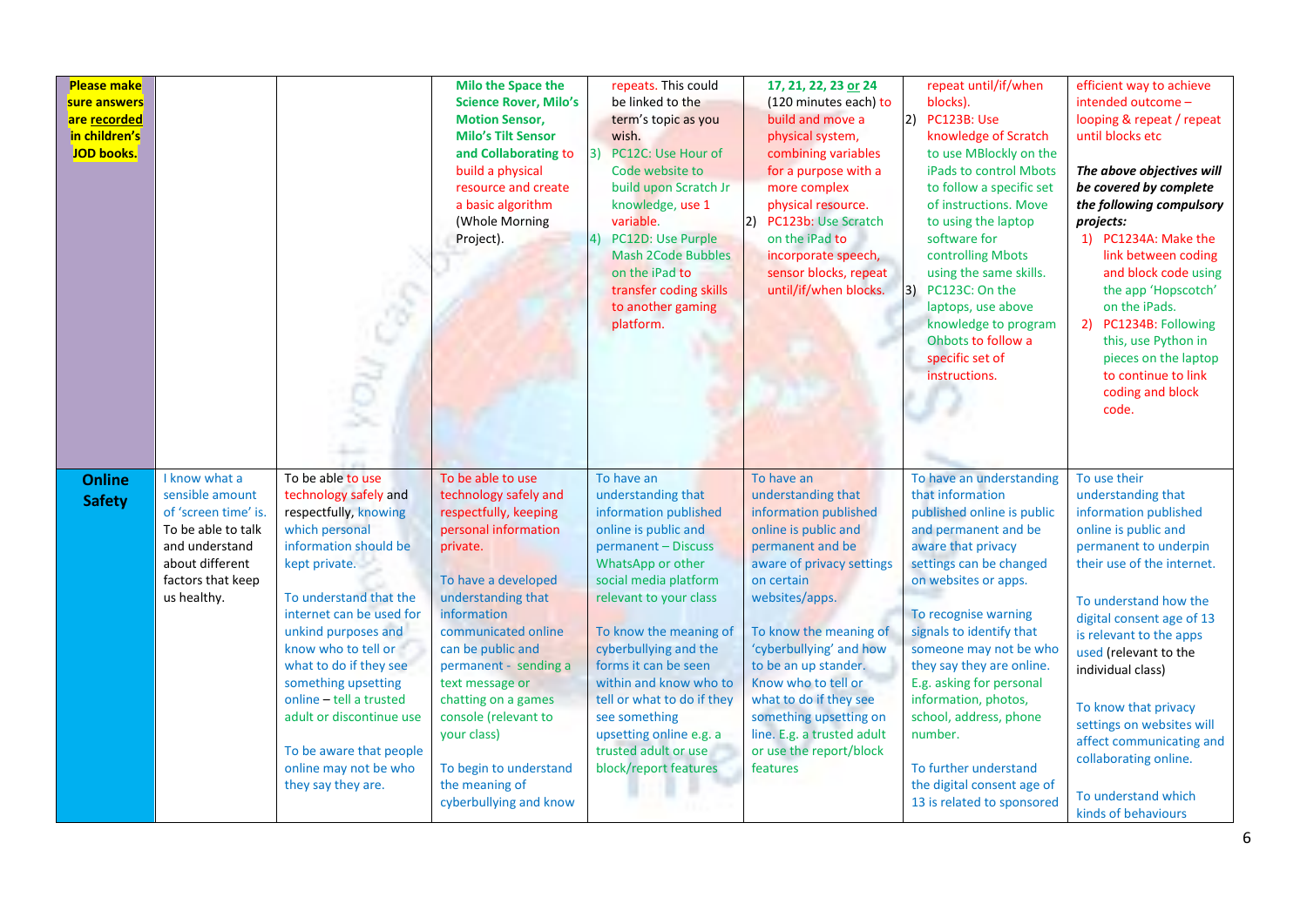| <b>Please make</b><br>sure answers<br>are recorded<br>in children's<br><b>JOD books.</b> |                                                                                                                                                         |                                                                                                                                                                                                                                                                                                                                                                                                                       | <b>Milo the Space the</b><br><b>Science Rover, Milo's</b><br><b>Motion Sensor,</b><br><b>Milo's Tilt Sensor</b><br>and Collaborating to<br>build a physical<br>resource and create<br>a basic algorithm<br>(Whole Morning<br>Project).                                                                                                                                                          | repeats. This could<br>be linked to the<br>term's topic as you<br>wish.<br>PC12C: Use Hour of<br>3)<br>Code website to<br>build upon Scratch Jr<br>knowledge, use 1<br>variable.<br>PC12D: Use Purple<br>41<br><b>Mash 2Code Bubbles</b><br>on the iPad to<br>transfer coding skills<br>to another gaming<br>platform.                                                                                           | 17, 21, 22, 23 or 24<br>(120 minutes each) to<br>build and move a<br>physical system,<br>combining variables<br>for a purpose with a<br>more complex<br>physical resource.<br>PC123b: Use Scratch<br>on the iPad to<br>incorporate speech,<br>sensor blocks, repeat<br>until/if/when blocks.                                                                                                    | repeat until/if/when<br>blocks).<br>2) PC123B: Use<br>knowledge of Scratch<br>to use MBlockly on the<br>iPads to control Mbots<br>to follow a specific set<br>of instructions. Move<br>to using the laptop<br>software for<br>controlling Mbots<br>using the same skills.<br>3) PC123C: On the<br>laptops, use above<br>knowledge to program<br>Ohbots to follow a<br>specific set of<br>instructions.                                                               | efficient way to achieve<br>intended outcome -<br>looping & repeat / repeat<br>until blocks etc<br>The above objectives will<br>be covered by complete<br>the following compulsory<br>projects:<br>1) PC1234A: Make the<br>link between coding<br>and block code using<br>the app 'Hopscotch'<br>on the iPads.<br>2) PC1234B: Following<br>this, use Python in<br>pieces on the laptop<br>to continue to link<br>coding and block<br>code. |
|------------------------------------------------------------------------------------------|---------------------------------------------------------------------------------------------------------------------------------------------------------|-----------------------------------------------------------------------------------------------------------------------------------------------------------------------------------------------------------------------------------------------------------------------------------------------------------------------------------------------------------------------------------------------------------------------|-------------------------------------------------------------------------------------------------------------------------------------------------------------------------------------------------------------------------------------------------------------------------------------------------------------------------------------------------------------------------------------------------|------------------------------------------------------------------------------------------------------------------------------------------------------------------------------------------------------------------------------------------------------------------------------------------------------------------------------------------------------------------------------------------------------------------|-------------------------------------------------------------------------------------------------------------------------------------------------------------------------------------------------------------------------------------------------------------------------------------------------------------------------------------------------------------------------------------------------|----------------------------------------------------------------------------------------------------------------------------------------------------------------------------------------------------------------------------------------------------------------------------------------------------------------------------------------------------------------------------------------------------------------------------------------------------------------------|--------------------------------------------------------------------------------------------------------------------------------------------------------------------------------------------------------------------------------------------------------------------------------------------------------------------------------------------------------------------------------------------------------------------------------------------|
| <b>Online</b><br><b>Safety</b>                                                           | I know what a<br>sensible amount<br>of 'screen time' is.<br>To be able to talk<br>and understand<br>about different<br>factors that keep<br>us healthy. | To be able to use<br>technology safely and<br>respectfully, knowing<br>which personal<br>information should be<br>kept private.<br>To understand that the<br>internet can be used for<br>unkind purposes and<br>know who to tell or<br>what to do if they see<br>something upsetting<br>online - tell a trusted<br>adult or discontinue use<br>To be aware that people<br>online may not be who<br>they say they are. | To be able to use<br>technology safely and<br>respectfully, keeping<br>personal information<br>private.<br>To have a developed<br>understanding that<br>information<br>communicated online<br>can be public and<br>permanent - sending a<br>text message or<br>chatting on a games<br>console (relevant to<br>your class)<br>To begin to understand<br>the meaning of<br>cyberbullying and know | To have an<br>understanding that<br>information published<br>online is public and<br>permanent - Discuss<br>WhatsApp or other<br>social media platform<br>relevant to your class<br>To know the meaning of<br>cyberbullying and the<br>forms it can be seen<br>within and know who to<br>tell or what to do if they<br>see something<br>upsetting online e.g. a<br>trusted adult or use<br>block/report features | To have an<br>understanding that<br>information published<br>online is public and<br>permanent and be<br>aware of privacy settings<br>on certain<br>websites/apps.<br>To know the meaning of<br>'cyberbullying' and how<br>to be an up stander.<br>Know who to tell or<br>what to do if they see<br>something upsetting on<br>line. E.g. a trusted adult<br>or use the report/block<br>features | To have an understanding<br>that information<br>published online is public<br>and permanent and be<br>aware that privacy<br>settings can be changed<br>on websites or apps.<br>To recognise warning<br>signals to identify that<br>someone may not be who<br>they say they are online.<br>E.g. asking for personal<br>information, photos,<br>school, address, phone<br>number.<br>To further understand<br>the digital consent age of<br>13 is related to sponsored | To use their<br>understanding that<br>information published<br>online is public and<br>permanent to underpin<br>their use of the internet.<br>To understand how the<br>digital consent age of 13<br>is relevant to the apps<br>used (relevant to the<br>individual class)<br>To know that privacy<br>settings on websites will<br>affect communicating and<br>collaborating online.<br>To understand which<br>kinds of behaviours          |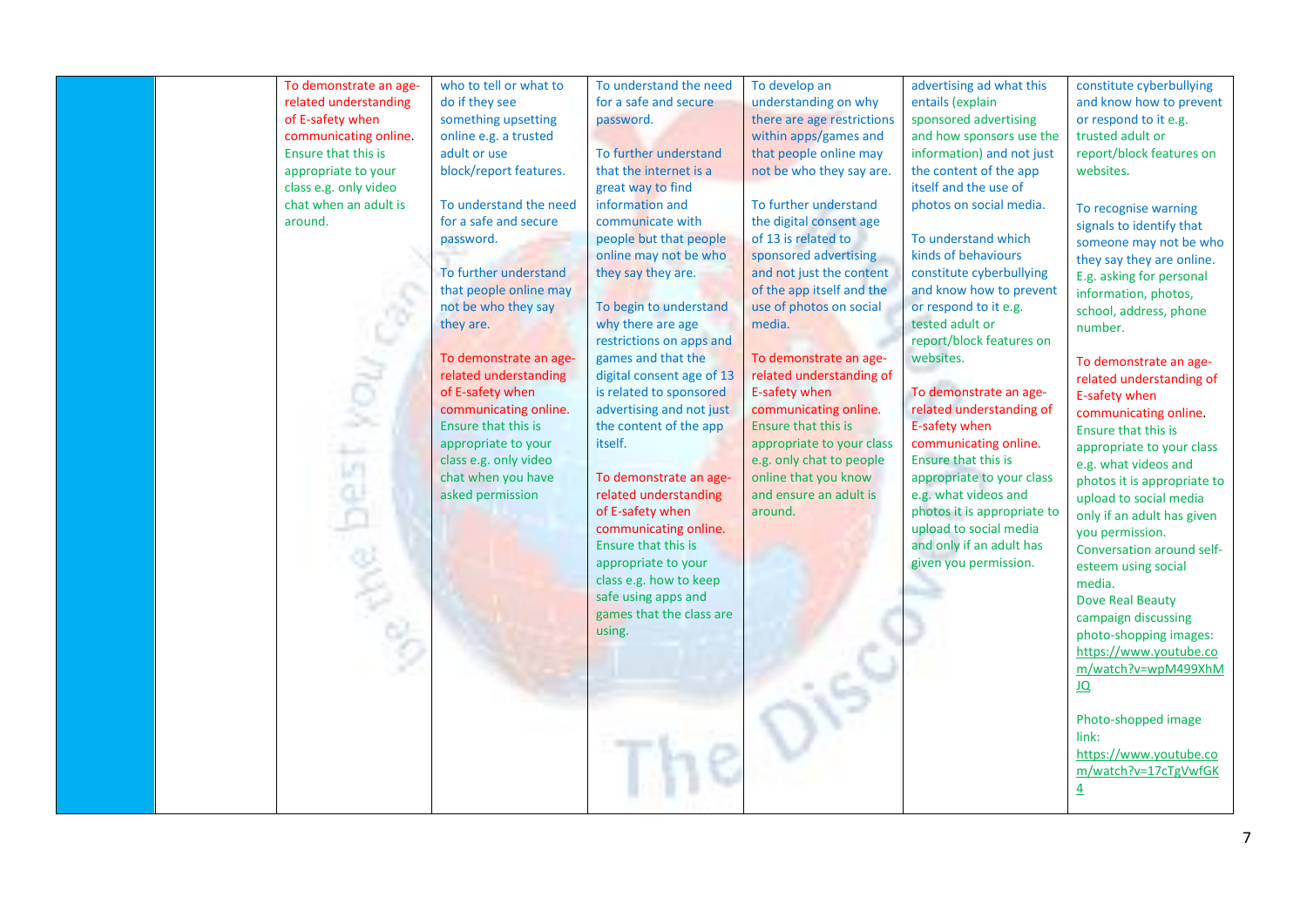| To demonstrate an age-<br>related understanding<br>of E-safety when<br>communicating online.<br>Ensure that this is<br>appropriate to your<br>class e.g. only video<br>chat when an adult is<br>around. | who to tell or what to<br>do if they see<br>something upsetting<br>online e.g. a trusted<br>adult or use<br>block/report features.<br>To understand the need<br>for a safe and secure<br>password.<br>To further understand<br>that people online may<br>not be who they say<br>they are.<br>To demonstrate an age-<br>related understanding<br>of E-safety when<br>communicating online.<br><b>Ensure that this is</b><br>appropriate to your<br>class e.g. only video<br>chat when you have<br>asked permission | To understand the need<br>for a safe and secure<br>password.<br>To further understand<br>that the internet is a<br>great way to find<br>information and<br>communicate with<br>people but that people<br>online may not be who<br>they say they are.<br>To begin to understand<br>why there are age<br>restrictions on apps and<br>games and that the<br>digital consent age of 13<br>is related to sponsored<br>advertising and not just<br>the content of the app<br>itself.<br>To demonstrate an age-<br>related understanding<br>of E-safety when<br>communicating online.<br>Ensure that this is<br>appropriate to your<br>class e.g. how to keep<br>safe using apps and<br>games that the class are<br>using. | To develop an<br>understanding on why<br>there are age restrictions<br>within apps/games and<br>that people online may<br>not be who they say are.<br>To further understand<br>the digital consent age<br>of 13 is related to<br>sponsored advertising<br>and not just the content<br>of the app itself and the<br>use of photos on social<br>media.<br>To demonstrate an age-<br>related understanding of<br>E-safety when<br>communicating online.<br><b>Ensure that this is</b><br>appropriate to your class<br>e.g. only chat to people<br>online that you know<br>and ensure an adult is<br>around. | advertising ad what this<br>entails (explain<br>sponsored advertising<br>and how sponsors use the<br>information) and not just<br>the content of the app<br>itself and the use of<br>photos on social media.<br>To understand which<br>kinds of behaviours<br>constitute cyberbullying<br>and know how to prevent<br>or respond to it e.g.<br>tested adult or<br>report/block features on<br>websites.<br>To demonstrate an age-<br>related understanding of<br>E-safety when<br>communicating online.<br><b>Ensure that this is</b><br>appropriate to your class<br>e.g. what videos and<br>photos it is appropriate to<br>upload to social media<br>and only if an adult has<br>given you permission. | constitute cyberbullying<br>and know how to prevent<br>or respond to it e.g.<br>trusted adult or<br>report/block features on<br>websites.<br>To recognise warning<br>signals to identify that<br>someone may not be who<br>they say they are online.<br>E.g. asking for personal<br>information, photos,<br>school, address, phone<br>number.<br>To demonstrate an age-<br>related understanding of<br>E-safety when<br>communicating online.<br>Ensure that this is<br>appropriate to your class<br>e.g. what videos and<br>photos it is appropriate to<br>upload to social media<br>only if an adult has given<br>you permission.<br>Conversation around self-<br>esteem using social<br>media.<br>Dove Real Beauty<br>campaign discussing<br>photo-shopping images:<br>https://www.youtube.co |
|---------------------------------------------------------------------------------------------------------------------------------------------------------------------------------------------------------|-------------------------------------------------------------------------------------------------------------------------------------------------------------------------------------------------------------------------------------------------------------------------------------------------------------------------------------------------------------------------------------------------------------------------------------------------------------------------------------------------------------------|---------------------------------------------------------------------------------------------------------------------------------------------------------------------------------------------------------------------------------------------------------------------------------------------------------------------------------------------------------------------------------------------------------------------------------------------------------------------------------------------------------------------------------------------------------------------------------------------------------------------------------------------------------------------------------------------------------------------|----------------------------------------------------------------------------------------------------------------------------------------------------------------------------------------------------------------------------------------------------------------------------------------------------------------------------------------------------------------------------------------------------------------------------------------------------------------------------------------------------------------------------------------------------------------------------------------------------------|---------------------------------------------------------------------------------------------------------------------------------------------------------------------------------------------------------------------------------------------------------------------------------------------------------------------------------------------------------------------------------------------------------------------------------------------------------------------------------------------------------------------------------------------------------------------------------------------------------------------------------------------------------------------------------------------------------|--------------------------------------------------------------------------------------------------------------------------------------------------------------------------------------------------------------------------------------------------------------------------------------------------------------------------------------------------------------------------------------------------------------------------------------------------------------------------------------------------------------------------------------------------------------------------------------------------------------------------------------------------------------------------------------------------------------------------------------------------------------------------------------------------|
|---------------------------------------------------------------------------------------------------------------------------------------------------------------------------------------------------------|-------------------------------------------------------------------------------------------------------------------------------------------------------------------------------------------------------------------------------------------------------------------------------------------------------------------------------------------------------------------------------------------------------------------------------------------------------------------------------------------------------------------|---------------------------------------------------------------------------------------------------------------------------------------------------------------------------------------------------------------------------------------------------------------------------------------------------------------------------------------------------------------------------------------------------------------------------------------------------------------------------------------------------------------------------------------------------------------------------------------------------------------------------------------------------------------------------------------------------------------------|----------------------------------------------------------------------------------------------------------------------------------------------------------------------------------------------------------------------------------------------------------------------------------------------------------------------------------------------------------------------------------------------------------------------------------------------------------------------------------------------------------------------------------------------------------------------------------------------------------|---------------------------------------------------------------------------------------------------------------------------------------------------------------------------------------------------------------------------------------------------------------------------------------------------------------------------------------------------------------------------------------------------------------------------------------------------------------------------------------------------------------------------------------------------------------------------------------------------------------------------------------------------------------------------------------------------------|--------------------------------------------------------------------------------------------------------------------------------------------------------------------------------------------------------------------------------------------------------------------------------------------------------------------------------------------------------------------------------------------------------------------------------------------------------------------------------------------------------------------------------------------------------------------------------------------------------------------------------------------------------------------------------------------------------------------------------------------------------------------------------------------------|